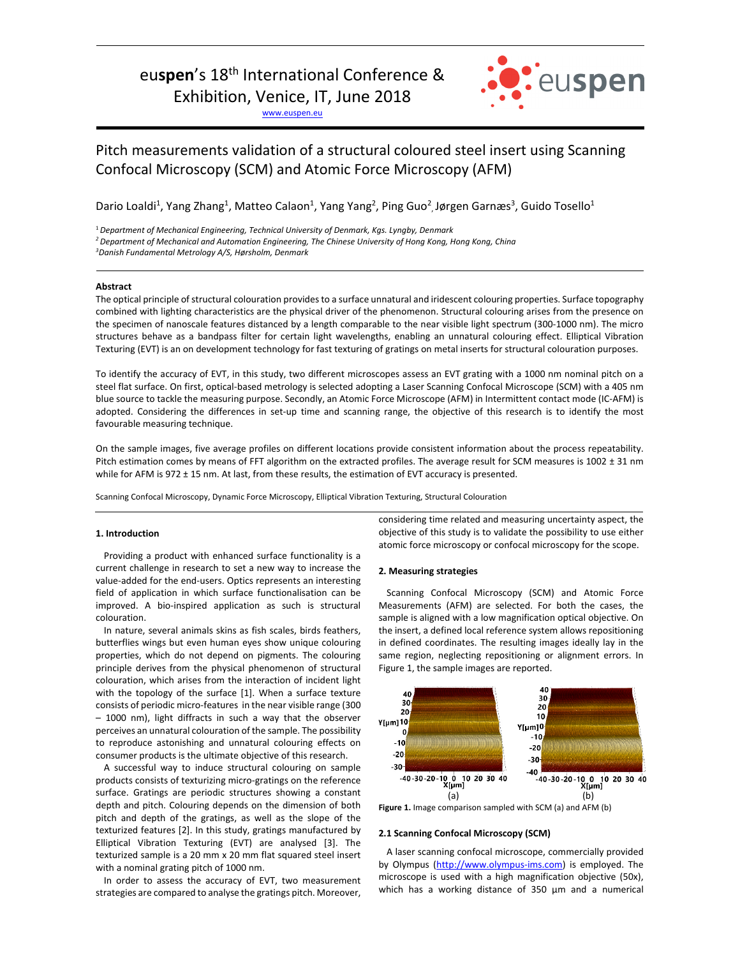# eu**spen**'s 18th International Conference &

Exhibition, Venice, IT, June 2018

www.euspen.eu



## Pitch measurements validation of a structural coloured steel insert using Scanning Confocal Microscopy (SCM) and Atomic Force Microscopy (AFM)

Dario Loaldi<sup>1</sup>, Yang Zhang<sup>1</sup>, Matteo Calaon<sup>1</sup>, Yang Yang<sup>2</sup>, Ping Guo<sup>2</sup>, Jørgen Garnæs<sup>3</sup>, Guido Tosello<sup>1</sup>

<sup>1</sup>*Department of Mechanical Engineering, Technical University of Denmark, Kgs. Lyngby, Denmark* 

*3 Danish Fundamental Metrology A/S, Hørsholm, Denmark* 

## **Abstract**

The optical principle of structural colouration provides to a surface unnatural and iridescent colouring properties. Surface topography combined with lighting characteristics are the physical driver of the phenomenon. Structural colouring arises from the presence on the specimen of nanoscale features distanced by a length comparable to the near visible light spectrum (300‐1000 nm). The micro structures behave as a bandpass filter for certain light wavelengths, enabling an unnatural colouring effect. Elliptical Vibration Texturing (EVT) is an on development technology for fast texturing of gratings on metal inserts for structural colouration purposes.

<u> Andreas Andreas Andreas Andreas Andreas Andreas Andreas Andreas Andreas Andreas Andreas Andreas Andreas Andr</u>

To identify the accuracy of EVT, in this study, two different microscopes assess an EVT grating with a 1000 nm nominal pitch on a steel flat surface. On first, optical‐based metrology is selected adopting a Laser Scanning Confocal Microscope (SCM) with a 405 nm blue source to tackle the measuring purpose. Secondly, an Atomic Force Microscope (AFM) in Intermittent contact mode (IC‐AFM) is adopted. Considering the differences in set-up time and scanning range, the objective of this research is to identify the most favourable measuring technique.

On the sample images, five average profiles on different locations provide consistent information about the process repeatability. Pitch estimation comes by means of FFT algorithm on the extracted profiles. The average result for SCM measures is 1002 ± 31 nm while for AFM is 972 ± 15 nm. At last, from these results, the estimation of EVT accuracy is presented.

Scanning Confocal Microscopy, Dynamic Force Microscopy, Elliptical Vibration Texturing, Structural Colouration

## **1. Introduction**

Providing a product with enhanced surface functionality is a current challenge in research to set a new way to increase the value‐added for the end‐users. Optics represents an interesting field of application in which surface functionalisation can be improved. A bio-inspired application as such is structural colouration.

In nature, several animals skins as fish scales, birds feathers, butterflies wings but even human eyes show unique colouring properties, which do not depend on pigments. The colouring principle derives from the physical phenomenon of structural colouration, which arises from the interaction of incident light with the topology of the surface [1]. When a surface texture consists of periodic micro‐features in the near visible range (300 – 1000 nm), light diffracts in such a way that the observer perceives an unnatural colouration of the sample. The possibility to reproduce astonishing and unnatural colouring effects on consumer products is the ultimate objective of this research.

A successful way to induce structural colouring on sample products consists of texturizing micro‐gratings on the reference surface. Gratings are periodic structures showing a constant depth and pitch. Colouring depends on the dimension of both pitch and depth of the gratings, as well as the slope of the texturized features [2]. In this study, gratings manufactured by Elliptical Vibration Texturing (EVT) are analysed [3]. The texturized sample is a 20 mm x 20 mm flat squared steel insert with a nominal grating pitch of 1000 nm.

In order to assess the accuracy of EVT, two measurement strategies are compared to analyse the gratings pitch. Moreover,

considering time related and measuring uncertainty aspect, the objective of this study is to validate the possibility to use either atomic force microscopy or confocal microscopy for the scope.

## **2. Measuring strategies**

Scanning Confocal Microscopy (SCM) and Atomic Force Measurements (AFM) are selected. For both the cases, the sample is aligned with a low magnification optical objective. On the insert, a defined local reference system allows repositioning in defined coordinates. The resulting images ideally lay in the same region, neglecting repositioning or alignment errors. In Figure 1, the sample images are reported.



**Figure 1.** Image comparison sampled with SCM (a) and AFM (b)

## **2.1 Scanning Confocal Microscopy (SCM)**

A laser scanning confocal microscope, commercially provided by Olympus (http://www.olympus-ims.com) is employed. The microscope is used with a high magnification objective (50x), which has a working distance of 350 µm and a numerical

*<sup>2</sup> Department of Mechanical and Automation Engineering, The Chinese University of Hong Kong, Hong Kong, China*